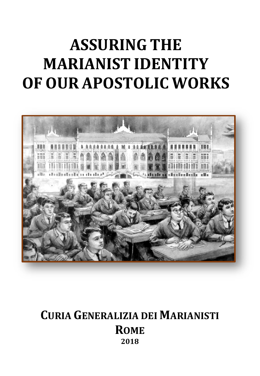# **ASSURING THE MARIANIST IDENTITY OF OUR APOSTOLIC WORKS**



# **CURIA GENERALIZIA DEI MARIANISTI ROME 2018**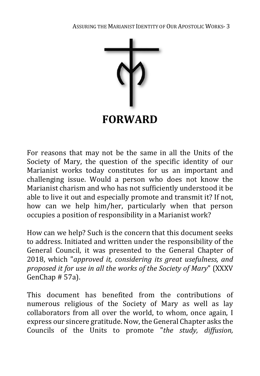

For reasons that may not be the same in all the Units of the Society of Mary, the question of the specific identity of our Marianist works today constitutes for us an important and challenging issue. Would a person who does not know the Marianist charism and who has not sufficiently understood it be able to live it out and especially promote and transmit it? If not, how can we help him/her, particularly when that person occupies a position of responsibility in a Marianist work?

How can we help? Such is the concern that this document seeks to address. Initiated and written under the responsibility of the General Council, it was presented to the General Chapter of 2018, which "*approved it, considering its great usefulness, and proposed it for use in all the works of the Society of Mary*" (XXXV GenChap # 57a).

This document has benefited from the contributions of numerous religious of the Society of Mary as well as lay collaborators from all over the world, to whom, once again, I express our sincere gratitude. Now, the General Chapter asks the Councils of the Units to promote "*the study, diffusion,*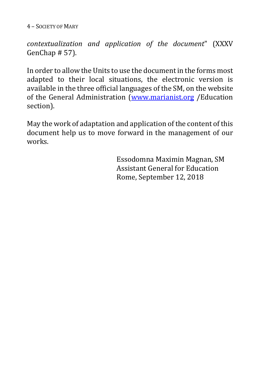4 – SOCIETY OF MARY

*contextualization and application of the document*" (XXXV GenChap # 57).

In order to allow the Units to use the document in the forms most adapted to their local situations, the electronic version is available in the three official languages of the SM, on the website of the General Administration [\(www.marianist.org](http://www.marianist.org/) /Education section).

May the work of adaptation and application of the content of this document help us to move forward in the management of our works.

> Essodomna Maximin Magnan, SM Assistant General for Education Rome, September 12, 2018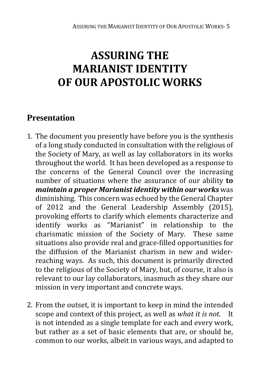# **ASSURING THE MARIANIST IDENTITY OF OUR APOSTOLIC WORKS**

# **Presentation**

- 1. The document you presently have before you is the synthesis of a long study conducted in consultation with the religious of the Society of Mary, as well as lay collaborators in its works throughout the world. It has been developed as a response to the concerns of the General Council over the increasing number of situations where the assurance of our ability **to**  *maintain a proper Marianist identity within our works* was diminishing. This concern was echoed by the General Chapter of 2012 and the General Leadership Assembly (2015), provoking efforts to clarify which elements characterize and identify works as "Marianist" in relationship to the charismatic mission of the Society of Mary. These same situations also provide real and grace-filled opportunities for the diffusion of the Marianist charism in new and widerreaching ways. As such, this document is primarily directed to the religious of the Society of Mary, but, of course, it also is relevant to our lay collaborators, inasmuch as they share our mission in very important and concrete ways.
- 2. From the outset, it is important to keep in mind the intended scope and context of this project, as well as *what it is not*. It is not intended as a single template for each and every work, but rather as a set of basic elements that are, or should be, common to our works, albeit in various ways, and adapted to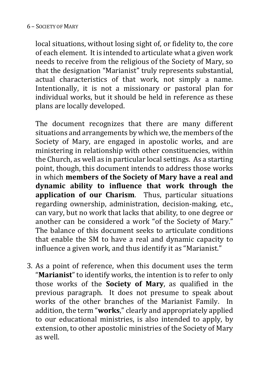#### 6 – SOCIETY OF MARY

local situations, without losing sight of, or fidelity to, the core of each element. It is intended to articulate what a given work needs to receive from the religious of the Society of Mary, so that the designation "Marianist" truly represents substantial, actual characteristics of that work, not simply a name. Intentionally, it is not a missionary or pastoral plan for individual works, but it should be held in reference as these plans are locally developed.

The document recognizes that there are many different situations and arrangements by which we, the members of the Society of Mary, are engaged in apostolic works, and are ministering in relationship with other constituencies, within the Church, as well as in particular local settings. As a starting point, though, this document intends to address those works in which **members of the Society of Mary have a real and dynamic ability to influence that work through the application of our Charism**. Thus, particular situations regarding ownership, administration, decision-making, etc., can vary, but no work that lacks that ability, to one degree or another can be considered a work "of the Society of Mary." The balance of this document seeks to articulate conditions that enable the SM to have a real and dynamic capacity to influence a given work, and thus identify it as "Marianist."

3. As a point of reference, when this document uses the term "**Marianist**" to identify works, the intention is to refer to only those works of the **Society of Mary**, as qualified in the previous paragraph. It does not presume to speak about works of the other branches of the Marianist Family. In addition, the term "**works**," clearly and appropriately applied to our educational ministries, is also intended to apply, by extension, to other apostolic ministries of the Society of Mary as well.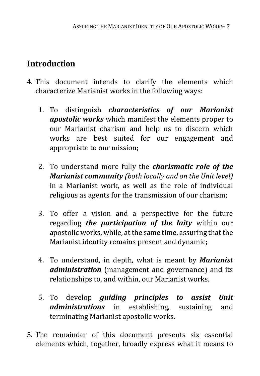# **Introduction**

- 4. This document intends to clarify the elements which characterize Marianist works in the following ways:
	- 1. To distinguish *characteristics of our Marianist apostolic works* which manifest the elements proper to our Marianist charism and help us to discern which works are best suited for our engagement and appropriate to our mission;
	- 2. To understand more fully the *charismatic role of the Marianist community (both locally and on the Unit level)* in a Marianist work, as well as the role of individual religious as agents for the transmission of our charism;
	- 3. To offer a vision and a perspective for the future regarding *the participation of the laity* within our apostolic works, while, at the same time, assuring that the Marianist identity remains present and dynamic;
	- 4. To understand, in depth, what is meant by *Marianist administration* (management and governance) and its relationships to, and within, our Marianist works.
	- 5. To develop *guiding principles to assist Unit administrations* in establishing, sustaining and terminating Marianist apostolic works.
- 5. The remainder of this document presents six essential elements which, together, broadly express what it means to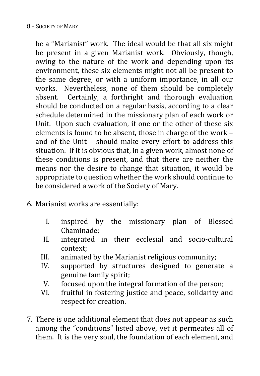be a "Marianist" work. The ideal would be that all six might be present in a given Marianist work. Obviously, though, owing to the nature of the work and depending upon its environment, these six elements might not all be present to the same degree, or with a uniform importance, in all our works. Nevertheless, none of them should be completely absent. Certainly, a forthright and thorough evaluation should be conducted on a regular basis, according to a clear schedule determined in the missionary plan of each work or Unit. Upon such evaluation, if one or the other of these six elements is found to be absent, those in charge of the work – and of the Unit – should make every effort to address this situation. If it is obvious that, in a given work, almost none of these conditions is present, and that there are neither the means nor the desire to change that situation, it would be appropriate to question whether the work should continue to be considered a work of the Society of Mary.

- 6. Marianist works are essentially:
	- I. inspired by the missionary plan of Blessed Chaminade;
	- II. integrated in their ecclesial and socio-cultural context;
	- III. animated by the Marianist religious community;<br>IV. supported by structures designed to genera
	- supported by structures designed to generate a genuine family spirit;
	- V. focused upon the integral formation of the person;<br>VI. fruitful in fostering iustice and peace, solidarity a
	- fruitful in fostering justice and peace, solidarity and respect for creation.
- 7. There is one additional element that does not appear as such among the "conditions" listed above, yet it permeates all of them. It is the very soul, the foundation of each element, and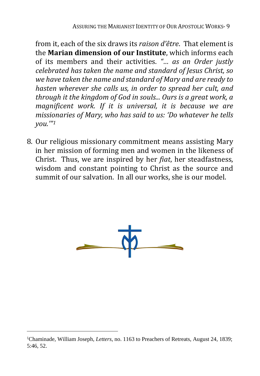from it, each of the six draws its *raison d'être*. That element is the **Marian dimension of our Institute**, which informs each of its members and their activities. *"… as an Order justly celebrated has taken the name and standard of Jesus Christ, so we have taken the name and standard of Mary and are ready to hasten wherever she calls us, in order to spread her cult, and through it the kingdom of God in souls... Ours is a great work, a magnificent work. If it is universal, it is because we are missionaries of Mary, who has said to us: 'Do whatever he tells you.'"[1](#page-8-0)*

8. Our religious missionary commitment means assisting Mary in her mission of forming men and women in the likeness of Christ. Thus, we are inspired by her *fiat*, her steadfastness, wisdom and constant pointing to Christ as the source and summit of our salvation. In all our works, she is our model.



<span id="page-8-0"></span> <sup>1</sup>Chaminade, William Joseph, *Letters*, no. 1163 to Preachers of Retreats, August 24, 1839; 5:46, 52.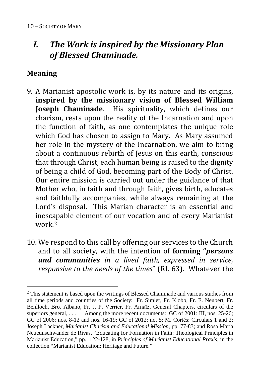# *I. The Work is inspired by the Missionary Plan of Blessed Chaminade.*

## **Meaning**

- 9. A Marianist apostolic work is, by its nature and its origins, **inspired by the missionary vision of Blessed William Joseph Chaminade**. His spirituality, which defines our charism, rests upon the reality of the Incarnation and upon the function of faith, as one contemplates the unique role which God has chosen to assign to Mary. As Mary assumed her role in the mystery of the Incarnation, we aim to bring about a continuous rebirth of Jesus on this earth, conscious that through Christ, each human being is raised to the dignity of being a child of God, becoming part of the Body of Christ. Our entire mission is carried out under the guidance of that Mother who, in faith and through faith, gives birth, educates and faithfully accompanies, while always remaining at the Lord's disposal. This Marian character is an essential and inescapable element of our vocation and of every Marianist work<sup>[2](#page-9-0)</sup>
- 10. We respond to this call by offering our services to the Church and to all society, with the intention of **forming "***persons and communities in a lived faith, expressed in service, responsive to the needs of the times*" (RL 63). Whatever the

<span id="page-9-0"></span><sup>2</sup> This statement is based upon the writings of Blessed Chaminade and various studies from all time periods and countries of the Society: Fr. Simler, Fr. Klobb, Fr. E. Neubert, Fr. Benlloch, Bro. Albano, Fr. J. P. Verrier, Fr. Arnaïz, General Chapters, circulars of the superiors general, ... Among the more recent documents: GC of 2001: III, nos. 25-26; GC of 2006: nos. 8-12 and nos. 16-19; GC of 2012: no. 5; M. Cortés: Circulars 1 and 2; Joseph Lackner, *Marianist Charism and Educational Mission,* pp. 77-83; and Rosa María Neueunschwander de Rivas, "Educating for Formation in Faith: Theological Principles in Marianist Education," pp. 122-128, in *Principles of Marianist Educational Praxis,* in the collection "Marianist Education: Heritage and Future."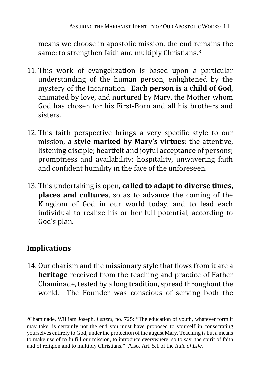means we choose in apostolic mission, the end remains the same: to strengthen faith and multiply Christians.[3](#page-10-0)

- 11. This work of evangelization is based upon a particular understanding of the human person, enlightened by the mystery of the Incarnation. **Each person is a child of God**, animated by love, and nurtured by Mary, the Mother whom God has chosen for his First-Born and all his brothers and sisters.
- 12. This faith perspective brings a very specific style to our mission, a **style marked by Mary's virtues**: the attentive, listening disciple; heartfelt and joyful acceptance of persons; promptness and availability; hospitality, unwavering faith and confident humility in the face of the unforeseen.
- 13. This undertaking is open, **called to adapt to diverse times, places and cultures**, so as to advance the coming of the Kingdom of God in our world today, and to lead each individual to realize his or her full potential, according to God's plan.

# **Implications**

 $\overline{a}$ 

14. Our charism and the missionary style that flows from it are a **heritage** received from the teaching and practice of Father Chaminade, tested by a long tradition, spread throughout the world. The Founder was conscious of serving both the

<span id="page-10-0"></span><sup>3</sup>Chaminade, William Joseph, *Letters*, no. 725: "The education of youth, whatever form it may take, is certainly not the end you must have proposed to yourself in consecrating yourselves entirely to God, under the protection of the august Mary. Teaching is but a means to make use of to fulfill our mission, to introduce everywhere, so to say, the spirit of faith and of religion and to multiply Christians." Also, Art. 5.1 of the *Rule of Life.*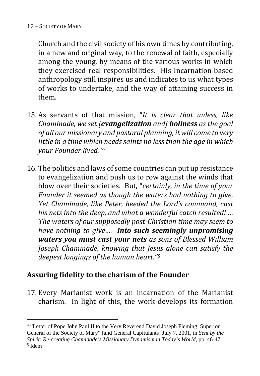$\overline{a}$ 

Church and the civil society of his own times by contributing, in a new and original way, to the renewal of faith, especially among the young, by means of the various works in which they exercised real responsibilities. His Incarnation-based anthropology still inspires us and indicates to us what types of works to undertake, and the way of attaining success in them.

- 15. As servants of that mission, "*It is clear that unless, like Chaminade, we set [evangelization and] holiness as the goal of all our missionary and pastoral planning, it will come to very little in a time which needs saints no less than the age in which your Founder lived.*"[4](#page-11-0)
- 16. The politics and laws of some countries can put up resistance to evangelization and push us to row against the winds that blow over their societies. But, "*certainly, in the time of your Founder it seemed as though the waters had nothing to give. Yet Chaminade, like Peter, heeded the Lord's command, cast his nets into the deep, and what a wonderful catch resulted! … The waters of our supposedly post-Christian time may seem to have nothing to give…. Into such seemingly unpromising waters you must cast your nets as sons of Blessed William Joseph Chaminade, knowing that Jesus alone can satisfy the deepest longings of the human heart."[5](#page-11-1)*

# **Assuring fidelity to the charism of the Founder**

17. Every Marianist work is an incarnation of the Marianist charism. In light of this, the work develops its formation

<span id="page-11-1"></span><span id="page-11-0"></span><sup>4</sup> "Letter of Pope John Paul II to the Very Reverend David Joseph Fleming, Superior General of the Society of Mary" [and General Capitulants] July 7, 2001, in *Sent by the Spirit: Re-creating Chaminade's Missionary Dynamism in Today's World*, pp. 46-47 <sup>5</sup> Idem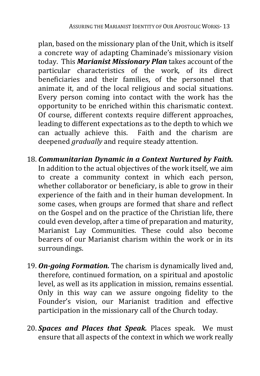plan, based on the missionary plan of the Unit, which is itself a concrete way of adapting Chaminade's missionary vision today. This *Marianist Missionary Plan* takes account of the particular characteristics of the work, of its direct beneficiaries and their families, of the personnel that animate it, and of the local religious and social situations. Every person coming into contact with the work has the opportunity to be enriched within this charismatic context. Of course, different contexts require different approaches, leading to different expectations as to the depth to which we can actually achieve this. Faith and the charism are deepened *gradually* and require steady attention.

- 18. *Communitarian Dynamic in a Context Nurtured by Faith.* In addition to the actual objectives of the work itself, we aim to create a community context in which each person, whether collaborator or beneficiary, is able to grow in their experience of the faith and in their human development. In some cases, when groups are formed that share and reflect on the Gospel and on the practice of the Christian life, there could even develop, after a time of preparation and maturity, Marianist Lay Communities. These could also become bearers of our Marianist charism within the work or in its surroundings.
- 19. *On-going Formation.* The charism is dynamically lived and, therefore, continued formation, on a spiritual and apostolic level, as well as its application in mission, remains essential. Only in this way can we assure ongoing fidelity to the Founder's vision, our Marianist tradition and effective participation in the missionary call of the Church today.
- 20. *Spaces and Places that Speak.* Places speak. We must ensure that all aspects of the context in which we work really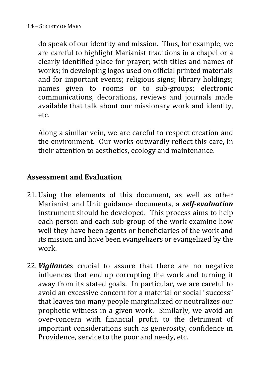do speak of our identity and mission. Thus, for example, we are careful to highlight Marianist traditions in a chapel or a clearly identified place for prayer; with titles and names of works; in developing logos used on official printed materials and for important events; religious signs; library holdings; names given to rooms or to sub-groups; electronic communications, decorations, reviews and journals made available that talk about our missionary work and identity, etc.

Along a similar vein, we are careful to respect creation and the environment. Our works outwardly reflect this care, in their attention to aesthetics, ecology and maintenance.

#### **Assessment and Evaluation**

- 21. Using the elements of this document, as well as other Marianist and Unit guidance documents, a *self-evaluation* instrument should be developed. This process aims to help each person and each sub-group of the work examine how well they have been agents or beneficiaries of the work and its mission and have been evangelizers or evangelized by the work.
- 22. *Vigilance*s crucial to assure that there are no negative influences that end up corrupting the work and turning it away from its stated goals. In particular, we are careful to avoid an excessive concern for a material or social "success" that leaves too many people marginalized or neutralizes our prophetic witness in a given work. Similarly, we avoid an over-concern with financial profit, to the detriment of important considerations such as generosity, confidence in Providence, service to the poor and needy, etc.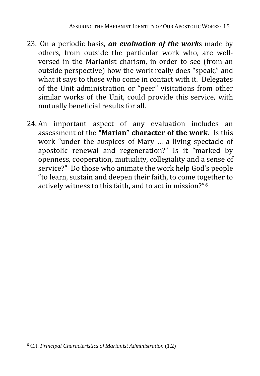- 23. On a periodic basis, *an evaluation of the work*s made by others, from outside the particular work who, are wellversed in the Marianist charism, in order to see (from an outside perspective) how the work really does "speak," and what it says to those who come in contact with it. Delegates of the Unit administration or "peer" visitations from other similar works of the Unit, could provide this service, with mutually beneficial results for all.
- 24. An important aspect of any evaluation includes an assessment of the **"Marian" character of the work**. Is this work "under the auspices of Mary … a living spectacle of apostolic renewal and regeneration?" Is it "marked by openness, cooperation, mutuality, collegiality and a sense of service?" Do those who animate the work help God's people "to learn, sustain and deepen their faith, to come together to actively witness to this faith, and to act in mission?"*[6](#page-14-0)*

<span id="page-14-0"></span><sup>6</sup> C.f. *Principal Characteristics of Marianist Administration* (1.2)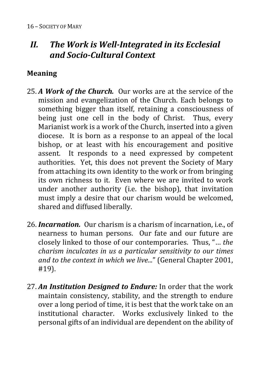# *II. The Work is Well-Integrated in its Ecclesial and Socio-Cultural Context*

## **Meaning**

- 25. *A Work of the Church.* Our works are at the service of the mission and evangelization of the Church. Each belongs to something bigger than itself, retaining a consciousness of being just one cell in the body of Christ. Thus, every Marianist work is a work of the Church, inserted into a given diocese. It is born as a response to an appeal of the local bishop, or at least with his encouragement and positive assent. It responds to a need expressed by competent authorities. Yet, this does not prevent the Society of Mary from attaching its own identity to the work or from bringing its own richness to it. Even where we are invited to work under another authority (i.e. the bishop), that invitation must imply a desire that our charism would be welcomed, shared and diffused liberally.
- 26. *Incarnation.* Our charism is a charism of incarnation, i.e., of nearness to human persons. Our fate and our future are closely linked to those of our contemporaries. Thus, "… *the charism inculcates in us a particular sensitivity to our times and to the context in which we live.*.." (General Chapter 2001, #19).
- 27. *An Institution Designed to Endure:* In order that the work maintain consistency, stability, and the strength to endure over a long period of time, it is best that the work take on an institutional character. Works exclusively linked to the personal gifts of an individual are dependent on the ability of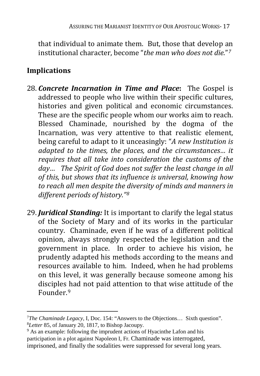that individual to animate them. But, those that develop an institutional character, become "*the man who does not die.*"*[7](#page-16-0)*

# **Implications**

- 28. *Concrete Incarnation in Time and Place***:** The Gospel is addressed to people who live within their specific cultures, histories and given political and economic circumstances. These are the specific people whom our works aim to reach. Blessed Chaminade, nourished by the dogma of the Incarnation, was very attentive to that realistic element, being careful to adapt to it unceasingly: "*A new Institution is adapted to the times, the places, and the circumstances… it requires that all take into consideration the customs of the day… The Spirit of God does not suffer the least change in all of this, but shows that its influence is universal, knowing how to reach all men despite the diversity of minds and manners in different periods of history."[8](#page-16-1)*
- 29. *Juridical Standing:* It is important to clarify the legal status of the Society of Mary and of its works in the particular country. Chaminade, even if he was of a different political opinion, always strongly respected the legislation and the government in place. In order to achieve his vision, he prudently adapted his methods according to the means and resources available to him. Indeed, when he had problems on this level, it was generally because someone among his disciples [h](#page-16-2)ad not paid attention to that wise attitude of the Founder<sup>9</sup>

<span id="page-16-0"></span><sup>7</sup>*The Chaminade Legacy,* I, Doc. 154: "Answers to the Objections… Sixth question". <sup>8</sup>*Letter* 85, of January 20, 1817, to Bishop Jacoupy.

<span id="page-16-2"></span><span id="page-16-1"></span><sup>&</sup>lt;sup>9</sup> As an example: following the imprudent actions of Hyacinthe Lafon and his participation in a plot against Napoleon I, Fr. Chaminade was interrogated, imprisoned, and finally the sodalities were suppressed for several long years.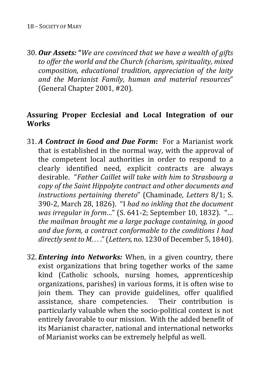30. *Our Assets:* **"***We are convinced that we have a wealth of gifts to offer the world and the Church (charism, spirituality, mixed composition, educational tradition, appreciation of the laity and the Marianist Family, human and material resources*" (General Chapter 2001, #20).

#### **Assuring Proper Ecclesial and Local Integration of our Works**

- 31. *A Contract in Good and Due Form***:** For a Marianist work that is established in the normal way, with the approval of the competent local authorities in order to respond to a clearly identified need, explicit contracts are always desirable. "*Father Caillet will take with him to Strasbourg a copy of the Saint Hippolyte contract and other documents and instructions pertaining thereto*" (Chaminade*, Letters* 8/1; S. 390-2, March 28, 1826). "I *had no inkling that the document was irregular in form…*" (S. 641-2; September 10, 1832). "… *the mailman brought me a large package containing, in good and due form, a contract conformable to the conditions I had directly sent to M....*" (*Letters, no.* 1230 of December 5, 1840).
- 32. *Entering into Networks:* When, in a given country, there exist organizations that bring together works of the same kind (Catholic schools, nursing homes, apprenticeship organizations, parishes) in various forms, it is often wise to join them. They can provide guidelines, offer qualified assistance, share competencies. Their contribution is particularly valuable when the socio-political context is not entirely favorable to our mission. With the added benefit of its Marianist character, national and international networks of Marianist works can be extremely helpful as well.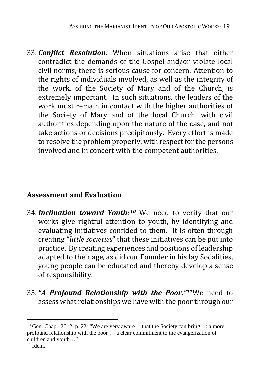33. *Conflict Resolution.* When situations arise that either contradict the demands of the Gospel and/or violate local civil norms, there is serious cause for concern. Attention to the rights of individuals involved, as well as the integrity of the work, of the Society of Mary and of the Church, is extremely important. In such situations, the leaders of the work must remain in contact with the higher authorities of the Society of Mary and of the local Church, with civil authorities depending upon the nature of the case, and not take actions or decisions precipitously. Every effort is made to resolve the problem properly, with respect for the persons involved and in concert with the competent authorities.

#### **Assessment and Evaluation**

- 34. *Inclination toward Youth:[10](#page-18-0)* We need to verify that our works give rightful attention to youth, by identifying and evaluating initiatives confided to them. It is often through creating "*little societies*" that these initiatives can be put into practice. By creating experiences and positions of leadership adapted to their age, as did our Founder in his lay Sodalities, young people can be educated and thereby develop a sense of responsibility.
- 35.*"A Profound Relationship with the Poor."[11](#page-18-1)*We need to assess what relationships we have with the poor through our

<span id="page-18-0"></span><sup>&</sup>lt;sup>10</sup> Gen. Chap. 2012, p. 22: "We are very aware ...that the Society can bring...: a more profound relationship with the poor … a clear commitment to the evangelization of children and youth…"

<span id="page-18-1"></span> $11$  Idem.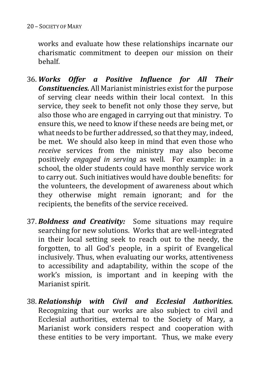works and evaluate how these relationships incarnate our charismatic commitment to deepen our mission on their behalf.

- 36. *Works Offer a Positive Influence for All Their Constituencies.* All Marianist ministries exist for the purpose of serving clear needs within their local context. In this service, they seek to benefit not only those they serve, but also those who are engaged in carrying out that ministry. To ensure this, we need to know if these needs are being met, or what needs to be further addressed, so that they may, indeed, be met. We should also keep in mind that even those who *receive* services from the ministry may also become positively *engaged in serving* as well. For example: in a school, the older students could have monthly service work to carry out. Such initiatives would have double benefits: for the volunteers, the development of awareness about which they otherwise might remain ignorant; and for the recipients, the benefits of the service received.
- 37. *Boldness and Creativity:* Some situations may require searching for new solutions. Works that are well-integrated in their local setting seek to reach out to the needy, the forgotten, to all God's people, in a spirit of Evangelical inclusively. Thus, when evaluating our works, attentiveness to accessibility and adaptability, within the scope of the work's mission, is important and in keeping with the Marianist spirit.
- 38. *Relationship with Civil and Ecclesial Authorities.* Recognizing that our works are also subject to civil and Ecclesial authorities, external to the Society of Mary, a Marianist work considers respect and cooperation with these entities to be very important. Thus, we make every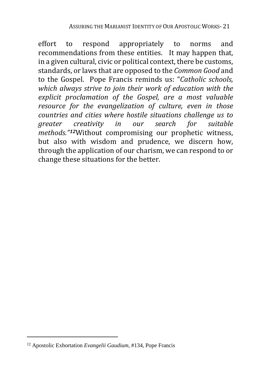effort to respond appropriately to norms and recommendations from these entities. It may happen that, in a given cultural, civic or political context, there be customs, standards, or laws that are opposed to the *Common Good* and to the Gospel. Pope Francis reminds us: "*Catholic schools, which always strive to join their work of education with the explicit proclamation of the Gospel, are a most valuable resource for the evangelization of culture, even in those countries and cities where hostile situations challenge us to greater creativity in our search for suitable methods."[12](#page-20-0)*Without compromising our prophetic witness, but also with wisdom and prudence, we discern how, through the application of our charism, we can respond to or change these situations for the better.

<span id="page-20-0"></span><sup>12</sup> Apostolic Exhortation *Evangelii Gaudium,* #134, Pope Francis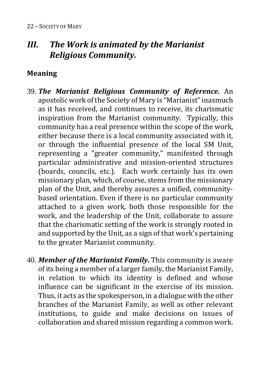# *III. The Work is animated by the Marianist Religious Community.*

## **Meaning**

- 39. *The Marianist Religious Community of Reference***.** An apostolic work of the Society of Mary is "Marianist" inasmuch as it has received, and continues to receive, its charismatic inspiration from the Marianist community. Typically, this community has a real presence within the scope of the work, either because there is a local community associated with it, or through the influential presence of the local SM Unit, representing a "greater community," manifested through particular administrative and mission-oriented structures (boards, councils, etc.). Each work certainly has its own missionary plan, which, of course, stems from the missionary plan of the Unit, and thereby assures a unified, communitybased orientation. Even if there is no particular community attached to a given work, both those responsible for the work, and the leadership of the Unit, collaborate to assure that the charismatic setting of the work is strongly rooted in and supported by the Unit, as a sign of that work's pertaining to the greater Marianist community.
- 40. *Member of the Marianist Family.* This community is aware of its being a member of a larger family, the Marianist Family, in relation to which its identity is defined and whose influence can be significant in the exercise of its mission. Thus, it acts as the spokesperson, in a dialogue with the other branches of the Marianist Family, as well as other relevant institutions, to guide and make decisions on issues of collaboration and shared mission regarding a common work.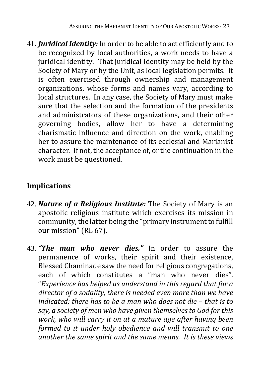41. *Juridical Identity:* In order to be able to act efficiently and to be recognized by local authorities, a work needs to have a juridical identity. That juridical identity may be held by the Society of Mary or by the Unit, as local legislation permits. It is often exercised through ownership and management organizations, whose forms and names vary, according to local structures. In any case, the Society of Mary must make sure that the selection and the formation of the presidents and administrators of these organizations, and their other governing bodies, allow her to have a determining charismatic influence and direction on the work, enabling her to assure the maintenance of its ecclesial and Marianist character. If not, the acceptance of, or the continuation in the work must be questioned.

# **Implications**

- 42. *Nature of a Religious Institute:* The Society of Mary is an apostolic religious institute which exercises its mission in community, the latter being the "primary instrument to fulfill our mission" (RL 67).
- 43. *"The man who never dies."* In order to assure the permanence of works, their spirit and their existence, Blessed Chaminade saw the need for religious congregations, each of which constitutes a "man who never dies". "*Experience has helped us understand in this regard that for a director of a sodality, there is needed even more than we have indicated; there has to be a man who does not die – that is to say, a society of men who have given themselves to God for this work, who will carry it on at a mature age after having been formed to it under holy obedience and will transmit to one another the same spirit and the same means. It is these views*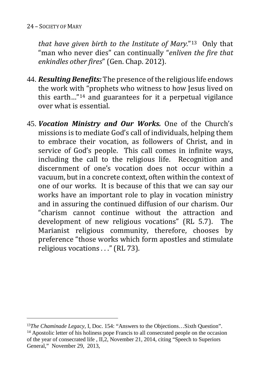#### 24 – SOCIETY OF MARY

*that have given birth to the Institute of Mary.*"[13](#page-23-0) Only that "man who never dies" can continually "*enliven the fire that enkindles other fires*" (Gen. Chap. 2012).

- 44. *Resulting Benefits:* The presence of the religious life endows the work with "prophets who witness to how Jesus lived on this earth…"[14](#page-23-1) and guarantees for it a perpetual vigilance over what is essential.
- 45. *Vocation Ministry and Our Works.* One of the Church's missions is to mediate God's call of individuals, helping them to embrace their vocation, as followers of Christ, and in service of God's people. This call comes in infinite ways, including the call to the religious life. Recognition and discernment of one's vocation does not occur within a vacuum, but in a concrete context, often within the context of one of our works. It is because of this that we can say our works have an important role to play in vocation ministry and in assuring the continued diffusion of our charism. Our "charism cannot continue without the attraction and development of new religious vocations" (RL 5.7). The development of new religious vocations" (RL 5.7). Marianist religious community, therefore, chooses by preference "those works which form apostles and stimulate religious vocations . . ." (RL 73).

<span id="page-23-1"></span><span id="page-23-0"></span> <sup>13</sup>*The Chaminade Legacy,* I, Doc. 154: "Answers to the Objections…Sixth Question". <sup>14</sup> Apostolic letter of his holiness pope Francis to all consecrated people on the occasion of the year of consecrated life , II,2, November 21, 2014, citing "Speech to Superiors General," November 29, 2013,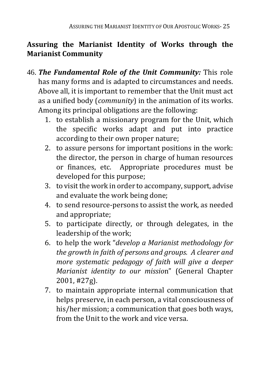# **Assuring the Marianist Identity of Works through the Marianist Community**

- 46. *The Fundamental Role of the Unit Community:* This role has many forms and is adapted to circumstances and needs. Above all, it is important to remember that the Unit must act as a unified body (*community*) in the animation of its works. Among its principal obligations are the following:
	- 1. to establish a missionary program for the Unit, which the specific works adapt and put into practice according to their own proper nature;
	- 2. to assure persons for important positions in the work: the director, the person in charge of human resources or finances, etc. Appropriate procedures must be developed for this purpose;
	- 3. to visit the work in order to accompany, support, advise and evaluate the work being done;
	- 4. to send resource-persons to assist the work, as needed and appropriate;
	- 5. to participate directly, or through delegates, in the leadership of the work;
	- 6. to help the work "*develop a Marianist methodology for the growth in faith of persons and groups. A clearer and more systematic pedagogy of faith will give a deeper Marianist identity to our missio*n" (General Chapter 2001, #27g).
	- 7. to maintain appropriate internal communication that helps preserve, in each person, a vital consciousness of his/her mission; a communication that goes both ways, from the Unit to the work and vice versa.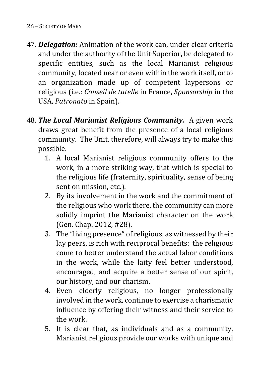#### 26 – SOCIETY OF MARY

- 47. *Delegation:* Animation of the work can, under clear criteria and under the authority of the Unit Superior, be delegated to specific entities, such as the local Marianist religious community, located near or even within the work itself, or to an organization made up of competent laypersons or religious (i.e.: *Conseil de tutelle* in France, *Sponsorship* in the USA, *Patronato* in Spain).
- 48. *The Local Marianist Religious Community.* A given work draws great benefit from the presence of a local religious community. The Unit, therefore, will always try to make this possible.
	- 1. A local Marianist religious community offers to the work, in a more striking way, that which is special to the religious life (fraternity, spirituality, sense of being sent on mission, etc.).
	- 2. By its involvement in the work and the commitment of the religious who work there, the community can more solidly imprint the Marianist character on the work (Gen. Chap. 2012, #28).
	- 3. The "living presence" of religious, as witnessed by their lay peers, is rich with reciprocal benefits: the religious come to better understand the actual labor conditions in the work, while the laity feel better understood, encouraged, and acquire a better sense of our spirit, our history, and our charism.
	- 4. Even elderly religious, no longer professionally involved in the work, continue to exercise a charismatic influence by offering their witness and their service to the work.
	- 5. It is clear that, as individuals and as a community, Marianist religious provide our works with unique and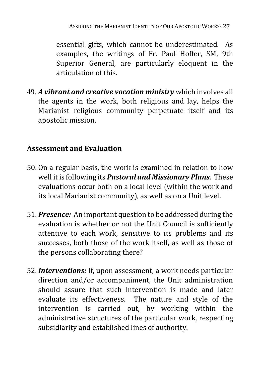essential gifts, which cannot be underestimated. As examples, the writings of Fr. Paul Hoffer, SM, 9th Superior General, are particularly eloquent in the articulation of this.

49. *A vibrant and creative vocation ministry* which involves all the agents in the work, both religious and lay, helps the Marianist religious community perpetuate itself and its apostolic mission.

#### **Assessment and Evaluation**

- 50. On a regular basis, the work is examined in relation to how well it is following its *Pastoral and Missionary Plans*. These evaluations occur both on a local level (within the work and its local Marianist community), as well as on a Unit level.
- 51. *Presence:* An important question to be addressed during the evaluation is whether or not the Unit Council is sufficiently attentive to each work, sensitive to its problems and its successes, both those of the work itself, as well as those of the persons collaborating there?
- 52. *Interventions:* If, upon assessment, a work needs particular direction and/or accompaniment, the Unit administration should assure that such intervention is made and later evaluate its effectiveness. The nature and style of the intervention is carried out, by working within the administrative structures of the particular work, respecting subsidiarity and established lines of authority.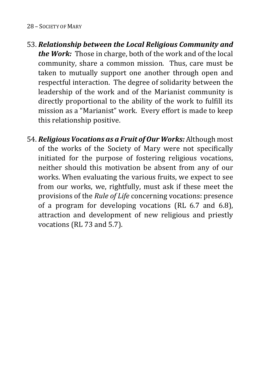#### 28 – SOCIETY OF MARY

- 53. *Relationship between the Local Religious Community and the Work:* Those in charge, both of the work and of the local community, share a common mission. Thus, care must be taken to mutually support one another through open and respectful interaction. The degree of solidarity between the leadership of the work and of the Marianist community is directly proportional to the ability of the work to fulfill its mission as a "Marianist" work. Every effort is made to keep this relationship positive.
- 54. *Religious Vocations as a Fruit of Our Works:* Although most of the works of the Society of Mary were not specifically initiated for the purpose of fostering religious vocations, neither should this motivation be absent from any of our works. When evaluating the various fruits, we expect to see from our works, we, rightfully, must ask if these meet the provisions of the *Rule of Life* concerning vocations: presence of a program for developing vocations (RL 6.7 and 6.8), attraction and development of new religious and priestly vocations (RL 73 and 5.7).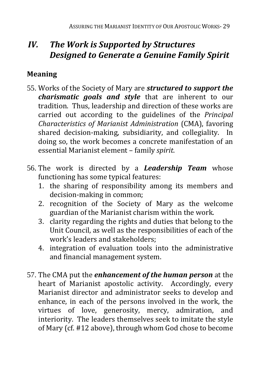# *IV. The Work is Supported by Structures Designed to Generate a Genuine Family Spirit*

# **Meaning**

- 55. Works of the Society of Mary are *structured to support the charismatic goals and style* that are inherent to our tradition. Thus, leadership and direction of these works are carried out according to the guidelines of the *Principal Characteristics of Marianist Administration* (CMA), favoring shared decision-making, subsidiarity, and collegiality. In doing so, the work becomes a concrete manifestation of an essential Marianist element – family *spirit*.
- 56. The work is directed by a *Leadership Team* whose functioning has some typical features:
	- 1. the sharing of responsibility among its members and decision-making in common;
	- 2. recognition of the Society of Mary as the welcome guardian of the Marianist charism within the work.
	- 3. clarity regarding the rights and duties that belong to the Unit Council, as well as the responsibilities of each of the work's leaders and stakeholders;
	- 4. integration of evaluation tools into the administrative and financial management system.
- 57. The CMA put the *enhancement of the human person* at the heart of Marianist apostolic activity. Accordingly, every Marianist director and administrator seeks to develop and enhance, in each of the persons involved in the work, the virtues of love, generosity, mercy, admiration, and virtues of love, generosity, mercy, admiration, interiority. The leaders themselves seek to imitate the style of Mary (cf. #12 above), through whom God chose to become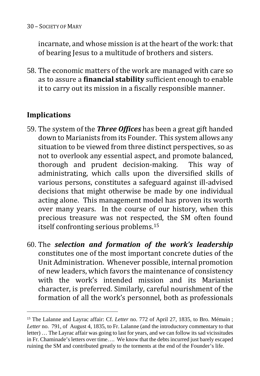incarnate, and whose mission is at the heart of the work: that of bearing Jesus to a multitude of brothers and sisters.

58. The economic matters of the work are managed with care so as to assure a **financial stability** sufficient enough to enable it to carry out its mission in a fiscally responsible manner.

# **Implications**

- 59. The system of the *Three Offices* has been a great gift handed down to Marianists from its Founder. This system allows any situation to be viewed from three distinct perspectives, so as not to overlook any essential aspect, and promote balanced, thorough and prudent decision-making. This way of thorough and prudent decision-making. administrating, which calls upon the diversified skills of various persons, constitutes a safeguard against ill-advised decisions that might otherwise be made by one individual acting alone. This management model has proven its worth over many years. In the course of our history, when this precious treasure was not respected, the SM often found itself confronting serious problems.[15](#page-29-0)
- 60. The *selection and formation of the work's leadership* constitutes one of the most important concrete duties of the Unit Administration. Whenever possible, internal promotion of new leaders, which favors the maintenance of consistency with the work's intended mission and its Marianist character, is preferred. Similarly, careful nourishment of the formation of all the work's personnel, both as professionals

<span id="page-29-0"></span> <sup>15</sup> The Lalanne and Layrac affair: Cf. *Letter* no. 772 of April 27, 1835, to Bro. Mémain ; *Letter* no. 791, of August 4, 1835, to Fr. Lalanne (and the introductory commentary to that letter) … The Layrac affair was going to last for years, and we can follow its sad vicissitudes in Fr. Chaminade's letters over time…. We know that the debts incurred just barely escaped ruining the SM and contributed greatly to the torments at the end of the Founder's life.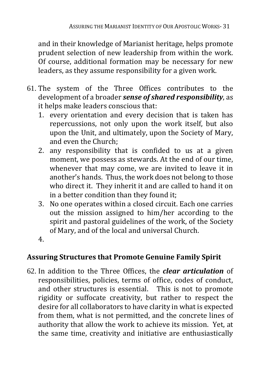and in their knowledge of Marianist heritage, helps promote prudent selection of new leadership from within the work. Of course, additional formation may be necessary for new leaders, as they assume responsibility for a given work.

- 61. The system of the Three Offices contributes to the development of a broader *sense of shared responsibility*, as it helps make leaders conscious that:
	- 1. every orientation and every decision that is taken has repercussions, not only upon the work itself, but also upon the Unit, and ultimately, upon the Society of Mary, and even the Church;
	- 2. any responsibility that is confided to us at a given moment, we possess as stewards. At the end of our time, whenever that may come, we are invited to leave it in another's hands. Thus, the work does not belong to those who direct it. They inherit it and are called to hand it on in a better condition than they found it;
	- 3. No one operates within a closed circuit. Each one carries out the mission assigned to him/her according to the spirit and pastoral guidelines of the work, of the Society of Mary, and of the local and universal Church.
	- 4.

#### **Assuring Structures that Promote Genuine Family Spirit**

62. In addition to the Three Offices, the *clear articulation* of responsibilities, policies, terms of office, codes of conduct, and other structures is essential. This is not to promote rigidity or suffocate creativity, but rather to respect the desire for all collaborators to have clarity in what is expected from them, what is not permitted, and the concrete lines of authority that allow the work to achieve its mission. Yet, at the same time, creativity and initiative are enthusiastically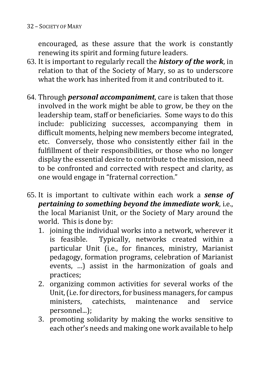encouraged, as these assure that the work is constantly renewing its spirit and forming future leaders.

- 63. It is important to regularly recall the *history of the work*, in relation to that of the Society of Mary, so as to underscore what the work has inherited from it and contributed to it.
- 64. Through *personal accompaniment*, care is taken that those involved in the work might be able to grow, be they on the leadership team, staff or beneficiaries. Some ways to do this include: publicizing successes, accompanying them in difficult moments, helping new members become integrated, etc. Conversely, those who consistently either fail in the fulfillment of their responsibilities, or those who no longer display the essential desire to contribute to the mission, need to be confronted and corrected with respect and clarity, as one would engage in "fraternal correction."
- 65. It is important to cultivate within each work a *sense of pertaining to something beyond the immediate work*, i.e., the local Marianist Unit, or the Society of Mary around the world. This is done by:
	- 1. joining the individual works into a network, wherever it<br>is feasible. Typically, networks created within a Typically, networks created within a particular Unit (i.e., for finances, ministry, Marianist pedagogy, formation programs, celebration of Marianist events, …) assist in the harmonization of goals and practices;
	- 2. organizing common activities for several works of the Unit, (i.e. for directors, for business managers, for campus<br>ministers. catechists. maintenance and service maintenance personnel...);
	- 3. promoting solidarity by making the works sensitive to each other's needs and making one work available to help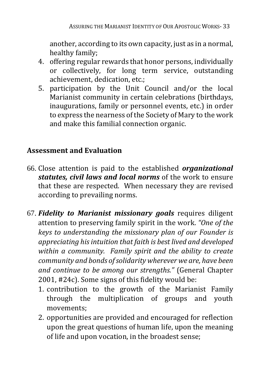another, according to its own capacity, just as in a normal, healthy family;

- 4. offering regular rewards that honor persons, individually or collectively, for long term service, outstanding achievement, dedication, etc.;
- 5. participation by the Unit Council and/or the local Marianist community in certain celebrations (birthdays, inaugurations, family or personnel events, etc.) in order to express the nearness of the Society of Mary to the work and make this familial connection organic.

# **Assessment and Evaluation**

- 66. Close attention is paid to the established *organizational statutes, civil laws and local norms* of the work to ensure that these are respected. When necessary they are revised according to prevailing norms.
- 67. *Fidelity to Marianist missionary goals* requires diligent attention to preserving family spirit in the work. *"One of the keys to understanding the missionary plan of our Founder is appreciating his intuition that faith is best lived and developed within a community. Family spirit and the ability to create community and bonds of solidarity wherever we are, have been and continue to be among our strengths."* (General Chapter 2001, #24c). Some signs of this fidelity would be:
	- 1. contribution to the growth of the Marianist Family through the multiplication of groups and youth movements;
	- 2. opportunities are provided and encouraged for reflection upon the great questions of human life, upon the meaning of life and upon vocation, in the broadest sense;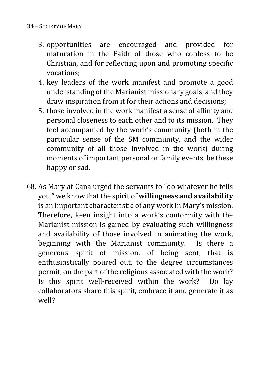- 3. opportunities are encouraged and provided for maturation in the Faith of those who confess to be Christian, and for reflecting upon and promoting specific vocations;
- 4. key leaders of the work manifest and promote a good understanding of the Marianist missionary goals, and they draw inspiration from it for their actions and decisions;
- 5. those involved in the work manifest a sense of affinity and personal closeness to each other and to its mission. They feel accompanied by the work's community (both in the particular sense of the SM community, and the wider community of all those involved in the work) during moments of important personal or family events, be these happy or sad.
- 68. As Mary at Cana urged the servants to "do whatever he tells you," we know that the spirit of **willingness and availability** is an important characteristic of any work in Mary's mission. Therefore, keen insight into a work's conformity with the Marianist mission is gained by evaluating such willingness and availability of those involved in animating the work, beginning with the Marianist community. Is there a generous spirit of mission, of being sent, that is enthusiastically poured out, to the degree circumstances permit, on the part of the religious associated with the work? Is this spirit well-received within the work? Do lay collaborators share this spirit, embrace it and generate it as well?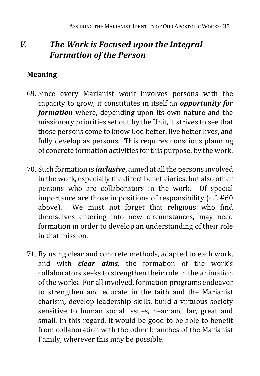# *V. The Work is Focused upon the Integral Formation of the Person*

# **Meaning**

- 69. Since every Marianist work involves persons with the capacity to grow, it constitutes in itself an *opportunity for formation* where, depending upon its own nature and the missionary priorities set out by the Unit, it strives to see that those persons come to know God better, live better lives, and fully develop as persons. This requires conscious planning of concrete formation activities for this purpose, by the work.
- 70. Such formation is *inclusive*, aimed at all the persons involved in the work, especially the direct beneficiaries, but also other persons who are collaborators in the work. Of special importance are those in positions of responsibility (c.f. #60 above). We must not forget that religious who find themselves entering into new circumstances, may need formation in order to develop an understanding of their role in that mission.
- 71. By using clear and concrete methods, adapted to each work, and with *clear aims,* the formation of the work's collaborators seeks to strengthen their role in the animation of the works. For all involved, formation programs endeavor to strengthen and educate in the faith and the Marianist charism, develop leadership skills, build a virtuous society sensitive to human social issues, near and far, great and small. In this regard, it would be good to be able to benefit from collaboration with the other branches of the Marianist Family, wherever this may be possible.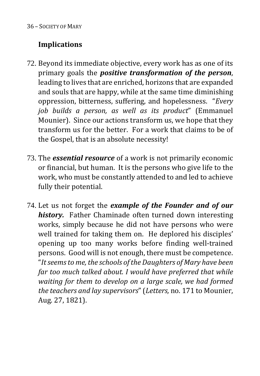# **Implications**

- 72. Beyond its immediate objective, every work has as one of its primary goals the *positive transformation of the person*, leading to lives that are enriched, horizons that are expanded and souls that are happy, while at the same time diminishing oppression, bitterness, suffering, and hopelessness. "*Every job builds a person, as well as its product*" (Emmanuel Mounier). Since our actions transform us, we hope that they transform us for the better. For a work that claims to be of the Gospel, that is an absolute necessity!
- 73. The *essential resource* of a work is not primarily economic or financial, but human. It is the persons who give life to the work, who must be constantly attended to and led to achieve fully their potential.
- 74. Let us not forget the *example of the Founder and of our history.* Father Chaminade often turned down interesting works, simply because he did not have persons who were well trained for taking them on. He deplored his disciples' opening up too many works before finding well-trained persons. Good will is not enough, there must be competence. "*It seems to me, the schools of the Daughters of Mary have been far too much talked about. I would have preferred that while waiting for them to develop on a large scale, we had formed the teachers and lay supervisors*" (*Letters,* no. 171 to Mounier, Aug. 27, 1821).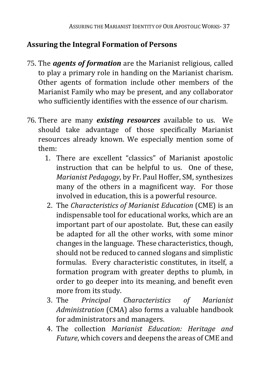# **Assuring the Integral Formation of Persons**

- 75. The *agents of formation* are the Marianist religious, called to play a primary role in handing on the Marianist charism. Other agents of formation include other members of the Marianist Family who may be present, and any collaborator who sufficiently identifies with the essence of our charism.
- 76. There are many *existing resources* available to us. We should take advantage of those specifically Marianist resources already known. We especially mention some of them:
	- 1. There are excellent "classics" of Marianist apostolic instruction that can be helpful to us. One of these, *Marianist Pedagogy*, by Fr. Paul Hoffer, SM, synthesizes many of the others in a magnificent way. For those involved in education, this is a powerful resource.
	- 2. The *Characteristics of Marianist Education* (CME) is an indispensable tool for educational works, which are an important part of our apostolate. But, these can easily be adapted for all the other works, with some minor changes in the language. These characteristics, though, should not be reduced to canned slogans and simplistic formulas. Every characteristic constitutes, in itself, a formation program with greater depths to plumb, in order to go deeper into its meaning, and benefit even more from its study.<br>3. The *Principal*
	- 3. The *Principal Characteristics of Marianist Administration* (CMA) also forms a valuable handbook for administrators and managers.
	- 4. The collection *Marianist Education: Heritage and Future*, which covers and deepens the areas of CME and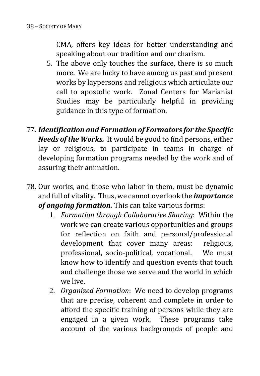CMA, offers key ideas for better understanding and speaking about our tradition and our charism.

- 5. The above only touches the surface, there is so much more. We are lucky to have among us past and present works by laypersons and religious which articulate our call to apostolic work. Zonal Centers for Marianist Studies may be particularly helpful in providing guidance in this type of formation.
- 77. *Identification and Formation of Formators for the Specific Needs of the Works.* It would be good to find persons, either lay or religious, to participate in teams in charge of developing formation programs needed by the work and of assuring their animation.
- 78. Our works, and those who labor in them, must be dynamic and full of vitality. Thus, we cannot overlook the *importance of ongoing formation.* This can take various forms:
	- 1. *Formation through Collaborative Sharing*: Within the work we can create various opportunities and groups for reflection on faith and personal/professional development that cover many areas: religious, development that cover many areas: professional, socio-political, vocational. We must know how to identify and question events that touch and challenge those we serve and the world in which we live.
	- 2. *Organized Formation*: We need to develop programs that are precise, coherent and complete in order to afford the specific training of persons while they are engaged in a given work. These programs take account of the various backgrounds of people and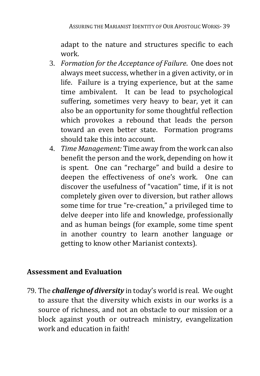adapt to the nature and structures specific to each work.

- 3. *Formation for the Acceptance of Failure*. One does not always meet success, whether in a given activity, or in life. Failure is a trying experience, but at the same time ambivalent. It can be lead to psychological suffering, sometimes very heavy to bear, yet it can also be an opportunity for some thoughtful reflection which provokes a rebound that leads the person toward an even better state. Formation programs should take this into account.
- 4. *Time Management:* Time away from the work can also benefit the person and the work, depending on how it is spent. One can "recharge" and build a desire to deepen the effectiveness of one's work. One can discover the usefulness of "vacation" time, if it is not completely given over to diversion, but rather allows some time for true "re-creation," a privileged time to delve deeper into life and knowledge, professionally and as human beings (for example, some time spent in another country to learn another language or getting to know other Marianist contexts).

#### **Assessment and Evaluation**

79. The *challenge of diversity* in today's world is real. We ought to assure that the diversity which exists in our works is a source of richness, and not an obstacle to our mission or a block against youth or outreach ministry, evangelization work and education in faith!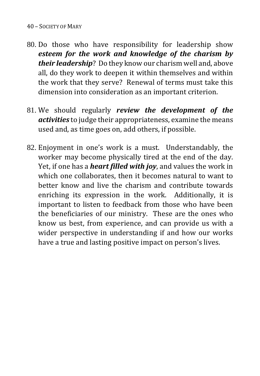#### 40 – SOCIETY OF MARY

- 80. Do those who have responsibility for leadership show *esteem for the work and knowledge of the charism by their leadership*? Do they know our charism well and, above all, do they work to deepen it within themselves and within the work that they serve? Renewal of terms must take this dimension into consideration as an important criterion.
- 81. We should regularly *review the development of the activities* to judge their appropriateness, examine the means used and, as time goes on, add others, if possible.
- 82. Enjoyment in one's work is a must. Understandably, the worker may become physically tired at the end of the day. Yet, if one has a *heart filled with joy*, and values the work in which one collaborates, then it becomes natural to want to better know and live the charism and contribute towards enriching its expression in the work. Additionally, it is important to listen to feedback from those who have been the beneficiaries of our ministry. These are the ones who know us best, from experience, and can provide us with a wider perspective in understanding if and how our works have a true and lasting positive impact on person's lives.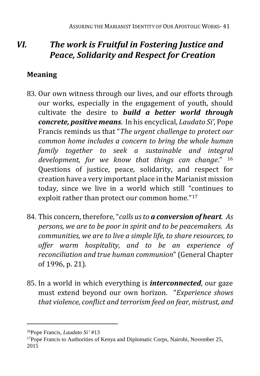# *VI. The work is Fruitful in Fostering Justice and Peace, Solidarity and Respect for Creation*

# **Meaning**

- 83. Our own witness through our lives, and our efforts through our works, especially in the engagement of youth, should cultivate the desire to *build a better world through concrete, positive means*. In his encyclical, *Laudato Si',* Pope Francis reminds us that "*The urgent challenge to protect our common home includes a concern to bring the whole human family together to seek a sustainable and integral development, for we know that things can change*." [16](#page-40-0)  Questions of justice, peace, solidarity, and respect for creation have a very important place in the Marianist mission today, since we live in a world which still "continues to exploit rather than protect our common home."[17](#page-40-1)
- 84. This concern, therefore, "*calls us to a conversion of heart. As persons, we are to be poor in spirit and to be peacemakers. As communities, we are to live a simple life, to share resources, to offer warm hospitality, and to be an experience of reconciliation and true human communion*" (General Chapter of 1996, p. 21).
- 85. In a world in which everything is *interconnected*, our gaze must extend beyond our own horizon. "*Experience shows that violence, conflict and terrorism feed on fear, mistrust, and*

<span id="page-40-0"></span><sup>16</sup>Pope Francis, *Laudato Si'* #13

<span id="page-40-1"></span><sup>&</sup>lt;sup>17</sup>Pope Francis to Authorities of Kenya and Diplomatic Corps, Nairobi, November 25, 2015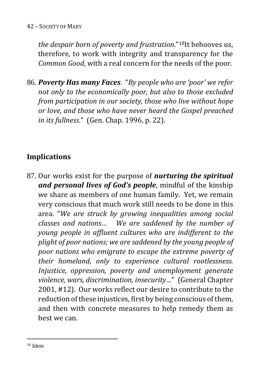*the despair born of poverty and frustration*."[18I](#page-41-0)t behooves us, therefore, to work with integrity and transparency for the *Common Good*, with a real concern for the needs of the poor.

86. *Poverty Has many Faces*. "*By people who are 'poor' we refer not only to the economically poor, but also to those excluded from participation in our society, those who live without hope or love, and those who have never heard the Gospel preached in its fullness*." (Gen. Chap. 1996, p. 22).

# **Implications**

<span id="page-41-0"></span>87. Our works exist for the purpose of *nurturing the spiritual and personal lives of God's people*, mindful of the kinship we share as members of one human family. Yet, we remain very conscious that much work still needs to be done in this area. "*We are struck by growing inequalities among social classes and nations… We are saddened by the number of young people in affluent cultures who are indifferent to the plight of poor nations; we are saddened by the young people of poor nations who emigrate to escape the extreme poverty of their homeland, only to experience cultural rootlessness. Injustice, oppression, poverty and unemployment generate violence, wars, discrimination, insecurity…*" (General Chapter 2001, #12). Our works reflect our desire to contribute to the reduction of these injustices, first by being conscious of them, and then with concrete measures to help remedy them as best we can.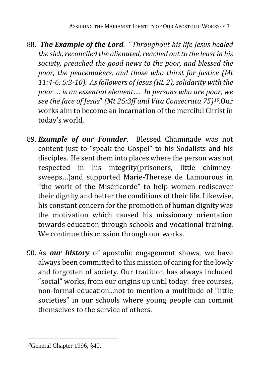- 88. *The Example of the Lord*. "*Throughout his life Jesus healed the sick, reconciled the alienated, reached out to the least in his society, preached the good news to the poor, and blessed the poor, the peacemakers, and those who thirst for justice (Mt 11:4-6; 5:3-10). As followers of Jesus (RL 2), solidarity with the poor … is an essential element…. In persons who are poor, we see the face of Jesus*" *(Mt 25:3ff and Vita Consecrata 75)[19.](#page-42-0)*Our works aim to become an incarnation of the merciful Christ in today's world,
- 89. *Example of our Founder*. Blessed Chaminade was not content just to "speak the Gospel" to his Sodalists and his disciples. He sent them into places where the person was not respected in his integrity(prisoners, little chimneysweeps…)and supported Marie-Therese de Lamourous in "the work of the Miséricorde" to help women rediscover their dignity and better the conditions of their life. Likewise, his constant concern for the promotion of human dignity was the motivation which caused his missionary orientation towards education through schools and vocational training. We continue this mission through our works.
- 90. As *our history* of apostolic engagement shows, we have always been committed to this mission of caring for the lowly and forgotten of society. Our tradition has always included "social" works, from our origins up until today: free courses, non-formal education...not to mention a multitude of "little societies" in our schools where young people can commit themselves to the service of others.

<span id="page-42-0"></span><sup>19</sup>General Chapter 1996, §40.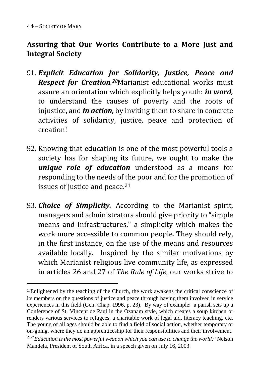# **Assuring that Our Works Contribute to a More Just and Integral Society**

- 91. *Explicit Education for Solidarity, Justice, Peace and Respect for Creation. [20](#page-43-0)*Marianist educational works must assure an orientation which explicitly helps youth: *in word,* to understand the causes of poverty and the roots of injustice, and *in action,* by inviting them to share in concrete activities of solidarity, justice, peace and protection of creation!
- 92. Knowing that education is one of the most powerful tools a society has for shaping its future, we ought to make the *unique role of education* understood as a means for responding to the needs of the poor and for the promotion of issues of justice and peace.<sup>[21](#page-43-1)</sup>
- 93. *Choice of Simplicity.* According to the Marianist spirit, managers and administrators should give priority to "simple means and infrastructures," a simplicity which makes the work more accessible to common people. They should rely, in the first instance, on the use of the means and resources available locally. Inspired by the similar motivations by which Marianist religious live community life, as expressed in articles 26 and 27 of *The Rule of Life*, our works strive to

<span id="page-43-0"></span><sup>&</sup>lt;sup>20</sup>Enlightened by the teaching of the Church, the work awakens the critical conscience of its members on the questions of justice and peace through having them involved in service experiences in this field (Gen. Chap. 1996, p. 23). By way of example: a parish sets up a Conference of St. Vincent de Paul in the Ozanam style, which creates a soup kitchen or renders various services to refugees, a charitable work of legal aid, literacy teaching, etc. The young of all ages should be able to find a field of social action, whether temporary or on-going, where they do an apprenticeship for their responsibilities and their involvement. 21"*Education is the most powerful weapon which you can use to change the world*." Nelson

<span id="page-43-1"></span>Mandela, President of South Africa, in a speech given on July 16, 2003.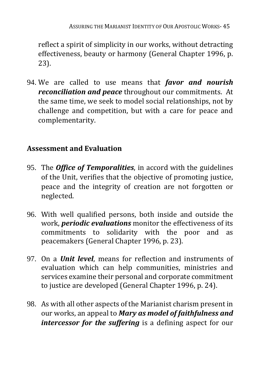reflect a spirit of simplicity in our works, without detracting effectiveness, beauty or harmony (General Chapter 1996, p. 23).

94. We are called to use means that *favor and nourish reconciliation and peace* throughout our commitments. At the same time, we seek to model social relationships, not by challenge and competition, but with a care for peace and complementarity.

#### **Assessment and Evaluation**

- 95. The *Office of Temporalities*, in accord with the guidelines of the Unit, verifies that the objective of promoting justice, peace and the integrity of creation are not forgotten or neglected.
- 96. With well qualified persons, both inside and outside the work, *periodic evaluations* monitor the effectiveness of its commitments to solidarity with the poor and as peacemakers (General Chapter 1996, p. 23).
- 97. On a *Unit level*, means for reflection and instruments of evaluation which can help communities, ministries and services examine their personal and corporate commitment to justice are developed (General Chapter 1996, p. 24).
- 98. As with all other aspects of the Marianist charism present in our works, an appeal to *Mary as model of faithfulness and intercessor for the suffering* is a defining aspect for our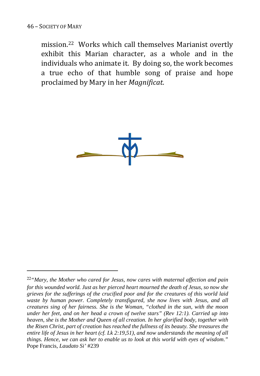$\overline{a}$ 

mission.[22](#page-45-0) Works which call themselves Marianist overtly exhibit this Marian character, as a whole and in the individuals who animate it. By doing so, the work becomes a true echo of that humble song of praise and hope proclaimed by Mary in her *Magnificat*.



<span id="page-45-0"></span><sup>22</sup>*"Mary, the Mother who cared for Jesus, now cares with maternal affection and pain for this wounded world. Just as her pierced heart mourned the death of Jesus, so now she grieves for the sufferings of the crucified poor and for the creatures of this world laid waste by human power. Completely transfigured, she now lives with Jesus, and all creatures sing of her fairness. She is the Woman, "clothed in the sun, with the moon under her feet, and on her head a crown of twelve stars" (Rev 12:1). Carried up into heaven, she is the Mother and Queen of all creation. In her glorified body, together with the Risen Christ, part of creation has reached the fullness of its beauty. She treasures the entire life of Jesus in her heart (cf. Lk 2:19,51), and now understands the meaning of all things. Hence, we can ask her to enable us to look at this world with eyes of wisdom*.*"*  Pope Francis, *Laudato Si'* #239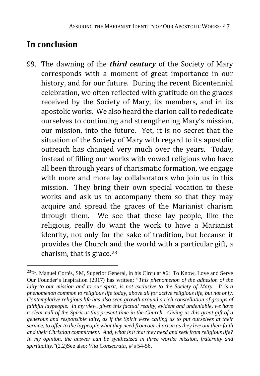# **In conclusion**

 $\overline{a}$ 

99. The dawning of the *third century* of the Society of Mary corresponds with a moment of great importance in our history, and for our future. During the recent Bicentennial celebration, we often reflected with gratitude on the graces received by the Society of Mary, its members, and in its apostolic works. We also heard the clarion call to rededicate ourselves to continuing and strengthening Mary's mission, our mission, into the future. Yet, it is no secret that the situation of the Society of Mary with regard to its apostolic outreach has changed very much over the years. Today, instead of filling our works with vowed religious who have all been through years of charismatic formation, we engage with more and more lay collaborators who join us in this mission. They bring their own special vocation to these works and ask us to accompany them so that they may acquire and spread the graces of the Marianist charism through them. We see that these lay people, like the religious, really do want the work to have a Marianist identity, not only for the sake of tradition, but because it provides the Church and the world with a particular gift, a charism, that is grace. $23$ 

<span id="page-46-0"></span><sup>23</sup>Fr. Manuel Cortés, SM, Superior General, in his Circular #6: To Know, Love and Serve Our Founder's Inspiration (2017) has written: "*This phenomenon of the adhesion of the laity to our mission and to our spirit, is not exclusive to the Society of Mary. It is a phenomenon common to religious life today, above all for active religious life, but not only. Contemplative religious life has also seen growth around a rich constellation of groups of faithful laypeople. In my view, given this factual reality, evident and undeniable, we have a clear call of the Spirit at this present time in the Church. Giving us this great gift of a generous and responsible laity, as if the Spirit were calling us to put ourselves at their service, to offer to the laypeople what they need from our charism as they live out their faith and their Christian commitment. And, what is it that they need and seek from religious life? In my opinion, the answer can be synthesized in three words: mission, fraternity and spirituality*."(2.2)See also: *Vita Consecrata*, #'s 54-56.